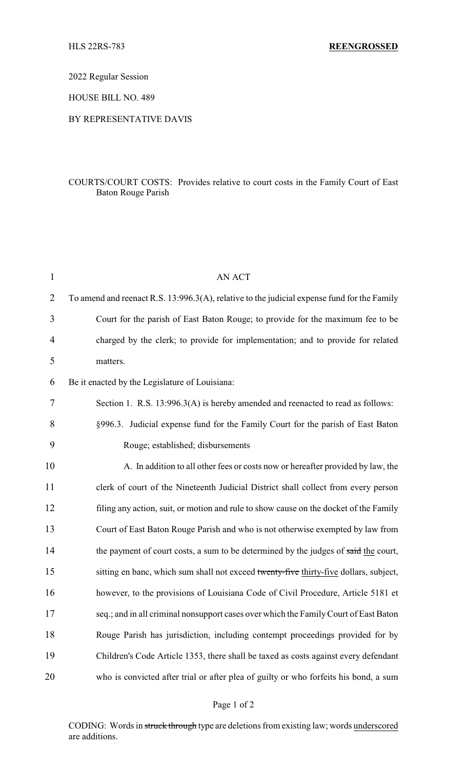2022 Regular Session

HOUSE BILL NO. 489

## BY REPRESENTATIVE DAVIS

## COURTS/COURT COSTS: Provides relative to court costs in the Family Court of East Baton Rouge Parish

| $\mathbf{1}$   | <b>AN ACT</b>                                                                               |
|----------------|---------------------------------------------------------------------------------------------|
| $\overline{2}$ | To amend and reenact R.S. 13:996.3(A), relative to the judicial expense fund for the Family |
| 3              | Court for the parish of East Baton Rouge; to provide for the maximum fee to be              |
| 4              | charged by the clerk; to provide for implementation; and to provide for related             |
| 5              | matters.                                                                                    |
| 6              | Be it enacted by the Legislature of Louisiana:                                              |
| 7              | Section 1. R.S. 13:996.3(A) is hereby amended and reenacted to read as follows:             |
| 8              | §996.3. Judicial expense fund for the Family Court for the parish of East Baton             |
| 9              | Rouge; established; disbursements                                                           |
| 10             | A. In addition to all other fees or costs now or hereafter provided by law, the             |
| 11             | clerk of court of the Nineteenth Judicial District shall collect from every person          |
| 12             | filing any action, suit, or motion and rule to show cause on the docket of the Family       |
| 13             | Court of East Baton Rouge Parish and who is not otherwise exempted by law from              |
| 14             | the payment of court costs, a sum to be determined by the judges of said the court,         |
| 15             | sitting en banc, which sum shall not exceed twenty-five thirty-five dollars, subject,       |
| 16             | however, to the provisions of Louisiana Code of Civil Procedure, Article 5181 et            |
| 17             | seq.; and in all criminal nonsupport cases over which the Family Court of East Baton        |
| 18             | Rouge Parish has jurisdiction, including contempt proceedings provided for by               |
| 19             | Children's Code Article 1353, there shall be taxed as costs against every defendant         |
| 20             | who is convicted after trial or after plea of guilty or who forfeits his bond, a sum        |

CODING: Words in struck through type are deletions from existing law; words underscored are additions.